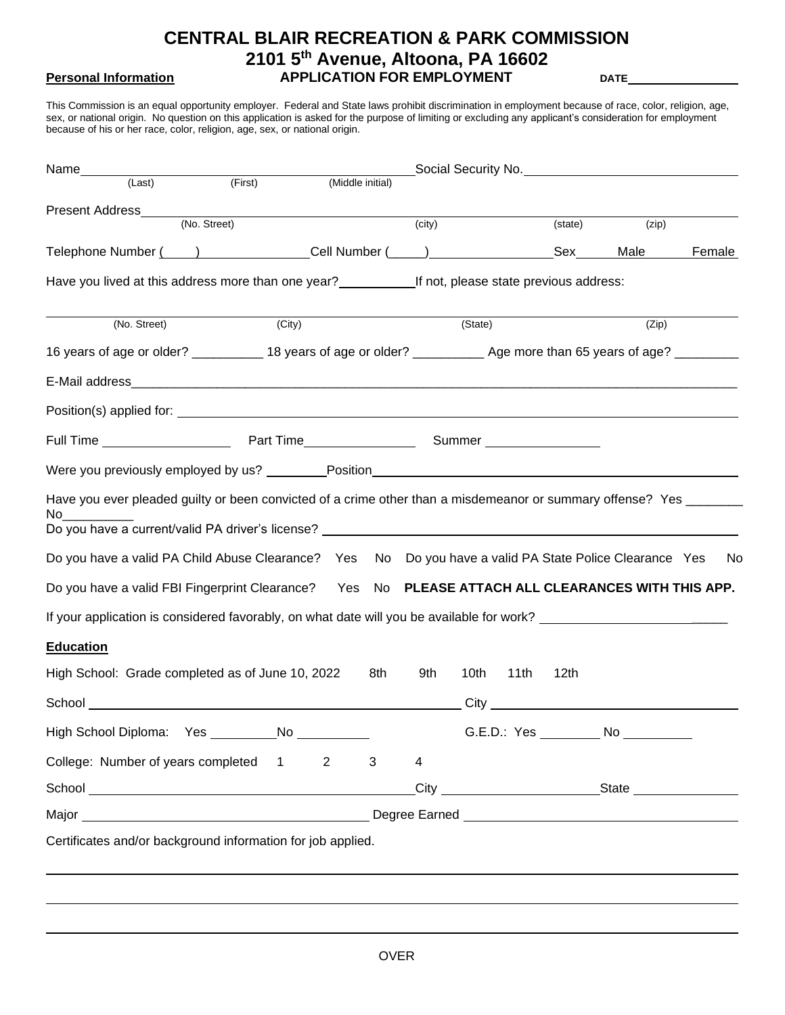# **CENTRAL BLAIR RECREATION & PARK COMMISSION 2101 5th Avenue, Altoona, PA 16602 Personal Information APPLICATION FOR EMPLOYMENT DATE**

This Commission is an equal opportunity employer. Federal and State laws prohibit discrimination in employment because of race, color, religion, age, sex, or national origin. No question on this application is asked for the purpose of limiting or excluding any applicant's consideration for employment because of his or her race, color, religion, age, sex, or national origin.

| Name                                                                                                                                                                                                                                 |                  |        |         |      |         |                                         |        |
|--------------------------------------------------------------------------------------------------------------------------------------------------------------------------------------------------------------------------------------|------------------|--------|---------|------|---------|-----------------------------------------|--------|
| (First)<br>(Last)                                                                                                                                                                                                                    | (Middle initial) |        |         |      |         |                                         |        |
| Present Address_<br>(No. Street)                                                                                                                                                                                                     |                  | (city) |         |      | (state) | (zip)                                   |        |
|                                                                                                                                                                                                                                      |                  |        |         |      |         | Male                                    | Female |
| Have you lived at this address more than one year?<br>If not, please state previous address:                                                                                                                                         |                  |        |         |      |         |                                         |        |
|                                                                                                                                                                                                                                      |                  |        |         |      |         |                                         |        |
| (No. Street)<br>(City)                                                                                                                                                                                                               |                  |        | (State) |      |         | (Zip)                                   |        |
| 16 years of age or older? ____________ 18 years of age or older? _____________ Age more than 65 years of age? __________                                                                                                             |                  |        |         |      |         |                                         |        |
|                                                                                                                                                                                                                                      |                  |        |         |      |         |                                         |        |
| Position(s) applied for: <u>example and the set of the set of the set of the set of the set of the set of the set of the set of the set of the set of the set of the set of the set of the set of the set of the set of the set </u> |                  |        |         |      |         |                                         |        |
|                                                                                                                                                                                                                                      |                  |        |         |      |         |                                         |        |
| Were you previously employed by us? _________Position___________________________                                                                                                                                                     |                  |        |         |      |         |                                         |        |
| Have you ever pleaded guilty or been convicted of a crime other than a misdemeanor or summary offense? Yes _______<br>No.                                                                                                            |                  |        |         |      |         |                                         |        |
| Do you have a valid PA Child Abuse Clearance? Yes No Do you have a valid PA State Police Clearance Yes                                                                                                                               |                  |        |         |      |         |                                         | No.    |
| Do you have a valid FBI Fingerprint Clearance? Yes No PLEASE ATTACH ALL CLEARANCES WITH THIS APP.                                                                                                                                    |                  |        |         |      |         |                                         |        |
| If your application is considered favorably, on what date will you be available for work?                                                                                                                                            |                  |        |         |      |         |                                         |        |
| <b>Education</b>                                                                                                                                                                                                                     |                  |        |         |      |         |                                         |        |
| High School: Grade completed as of June 10, 2022                                                                                                                                                                                     | 8th              | 9th    | 10th    | 11th | 12th    |                                         |        |
|                                                                                                                                                                                                                                      |                  |        |         |      |         |                                         |        |
|                                                                                                                                                                                                                                      |                  |        |         |      |         | G.E.D.: Yes ____________ No ___________ |        |
|                                                                                                                                                                                                                                      | 3                |        |         |      |         |                                         |        |
|                                                                                                                                                                                                                                      |                  | 4      |         |      |         |                                         |        |
| College: Number of years completed 1<br>$\overline{2}$                                                                                                                                                                               |                  |        |         |      |         |                                         |        |
|                                                                                                                                                                                                                                      |                  |        |         |      |         |                                         |        |